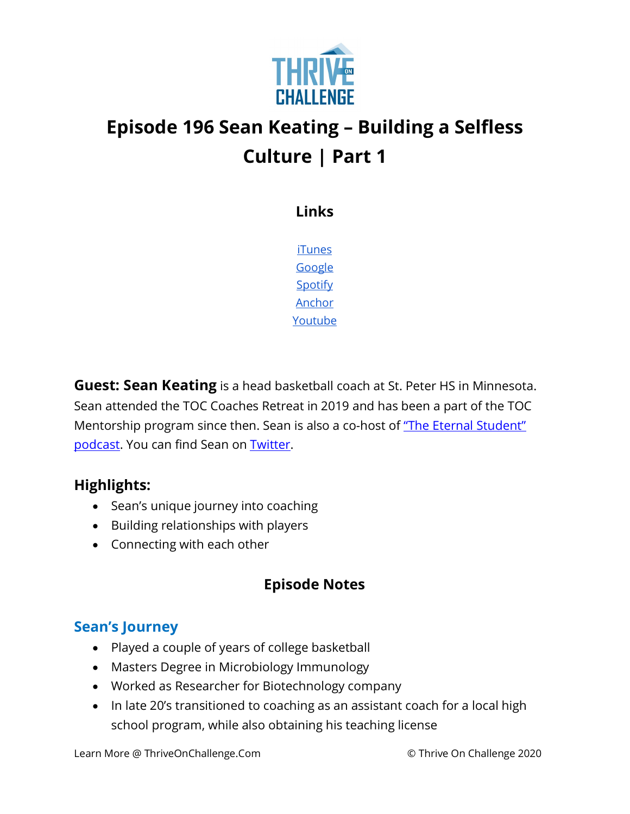

# **Episode 196 Sean Keating – Building a Selfless Culture | Part 1**

**Links**

[iTunes](https://podcasts.apple.com/us/podcast/coaching-culture/id1286560192) [Google](https://podcasts.google.com/feed/aHR0cHM6Ly9mZWVkcy5zb3VuZGNsb3VkLmNvbS91c2Vycy9zb3VuZGNsb3VkOnVzZXJzOjQxMDQyNzcvc291bmRzLnJzcw?ved=2ahUKEwiSpYquy9vqAhVbQUEAHSAkC88Q4aUDegQIARAC) **[Spotify](https://open.spotify.com/show/336Hs8udk8s0yXuK3BzSOq)** [Anchor](https://anchor.fm/coachingculturepodcast) [Youtube](https://www.youtube.com/channel/UC3vIljCBzwHcPyVIx9kiHvw)

**Guest: Sean Keating** is a head basketball coach at St. Peter HS in Minnesota. Sean attended the TOC Coaches Retreat in 2019 and has been a part of the TOC Mentorship program since then. Sean is also a co-host of "The Eternal Student" [podcast.](https://podcasts.apple.com/us/podcast/the-eternal-student/id1506185733) You can find Sean on **Twitter**.

#### **Highlights:**

- Sean's unique journey into coaching
- Building relationships with players
- Connecting with each other

## **Episode Notes**

## **Sean's Journey**

- Played a couple of years of college basketball
- Masters Degree in Microbiology Immunology
- Worked as Researcher for Biotechnology company
- In late 20's transitioned to coaching as an assistant coach for a local high school program, while also obtaining his teaching license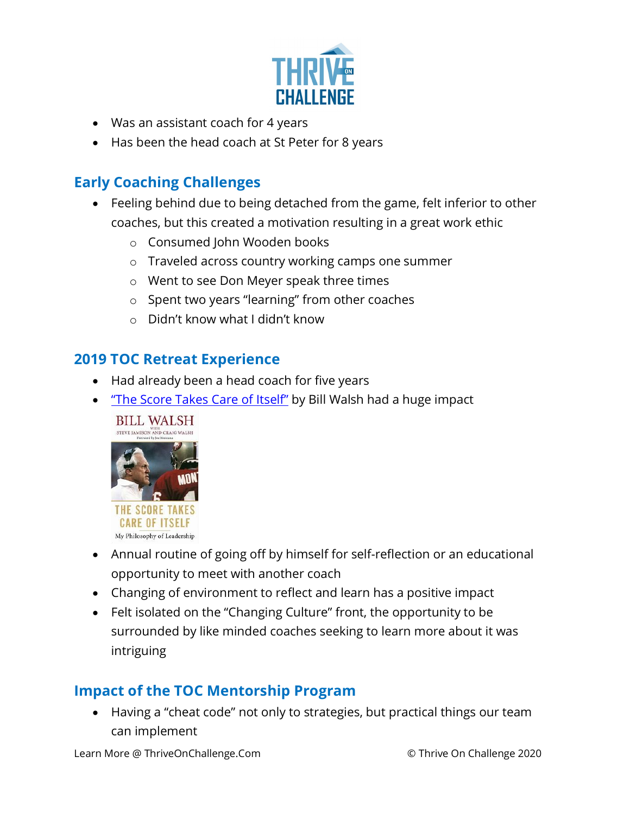

- Was an assistant coach for 4 years
- Has been the head coach at St Peter for 8 years

#### **Early Coaching Challenges**

- Feeling behind due to being detached from the game, felt inferior to other coaches, but this created a motivation resulting in a great work ethic
	- o Consumed John Wooden books
	- o Traveled across country working camps one summer
	- o Went to see Don Meyer speak three times
	- o Spent two years "learning" from other coaches
	- o Didn't know what I didn't know

#### **2019 TOC Retreat Experience**

- Had already been a head coach for five years
- ["The Score Takes Care of Itself"](https://www.amazon.com/Score-Takes-Care-Itself-Philosophy/dp/1591843472) by Bill Walsh had a huge impact



- Annual routine of going off by himself for self-reflection or an educational opportunity to meet with another coach
- Changing of environment to reflect and learn has a positive impact
- Felt isolated on the "Changing Culture" front, the opportunity to be surrounded by like minded coaches seeking to learn more about it was intriguing

#### **Impact of the TOC Mentorship Program**

• Having a "cheat code" not only to strategies, but practical things our team can implement

Learn More @ ThriveOnChallenge.Com © Thrive On Challenge 2020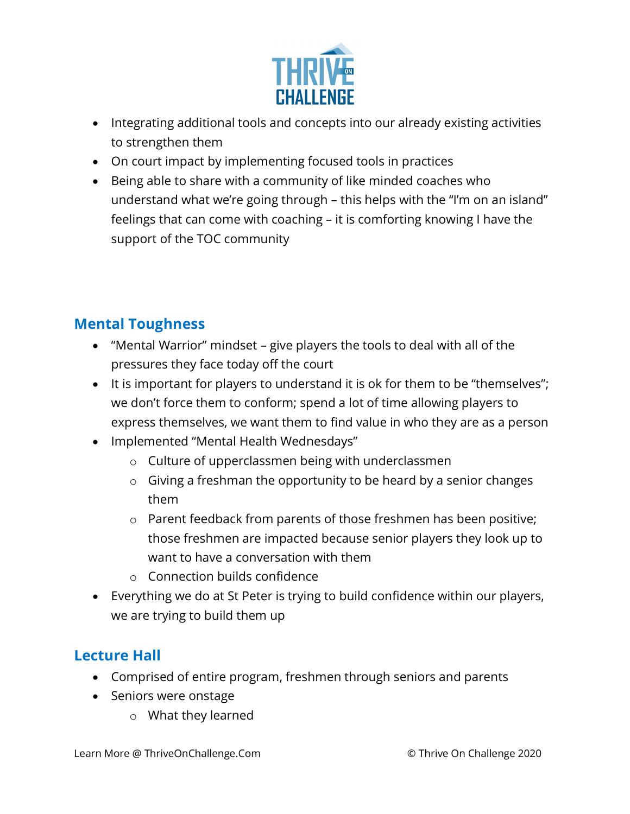

- Integrating additional tools and concepts into our already existing activities to strengthen them
- On court impact by implementing focused tools in practices
- Being able to share with a community of like minded coaches who understand what we're going through – this helps with the "I'm on an island" feelings that can come with coaching – it is comforting knowing I have the support of the TOC community

## **Mental Toughness**

- "Mental Warrior" mindset give players the tools to deal with all of the pressures they face today off the court
- It is important for players to understand it is ok for them to be "themselves"; we don't force them to conform; spend a lot of time allowing players to express themselves, we want them to find value in who they are as a person
- Implemented "Mental Health Wednesdays"
	- o Culture of upperclassmen being with underclassmen
	- $\circ$  Giving a freshman the opportunity to be heard by a senior changes them
	- o Parent feedback from parents of those freshmen has been positive; those freshmen are impacted because senior players they look up to want to have a conversation with them
	- o Connection builds confidence
- Everything we do at St Peter is trying to build confidence within our players, we are trying to build them up

#### **Lecture Hall**

- Comprised of entire program, freshmen through seniors and parents
- Seniors were onstage
	- o What they learned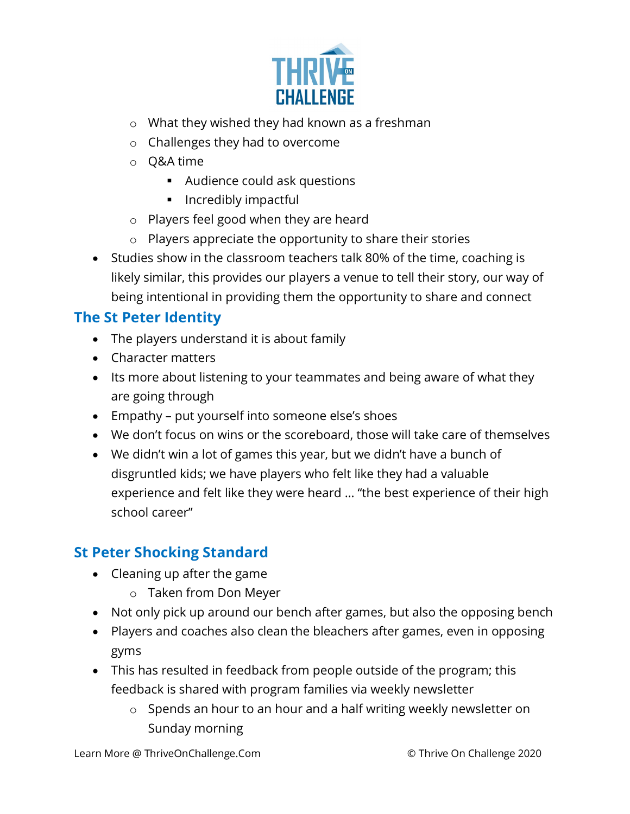

- o What they wished they had known as a freshman
- o Challenges they had to overcome
- o Q&A time
	- Audience could ask questions
	- **Incredibly impactful**
- o Players feel good when they are heard
- $\circ$  Players appreciate the opportunity to share their stories
- Studies show in the classroom teachers talk 80% of the time, coaching is likely similar, this provides our players a venue to tell their story, our way of being intentional in providing them the opportunity to share and connect

#### **The St Peter Identity**

- The players understand it is about family
- Character matters
- Its more about listening to your teammates and being aware of what they are going through
- Empathy put yourself into someone else's shoes
- We don't focus on wins or the scoreboard, those will take care of themselves
- We didn't win a lot of games this year, but we didn't have a bunch of disgruntled kids; we have players who felt like they had a valuable experience and felt like they were heard … "the best experience of their high school career"

## **St Peter Shocking Standard**

- Cleaning up after the game
	- o Taken from Don Meyer
- Not only pick up around our bench after games, but also the opposing bench
- Players and coaches also clean the bleachers after games, even in opposing gyms
- This has resulted in feedback from people outside of the program; this feedback is shared with program families via weekly newsletter
	- o Spends an hour to an hour and a half writing weekly newsletter on Sunday morning